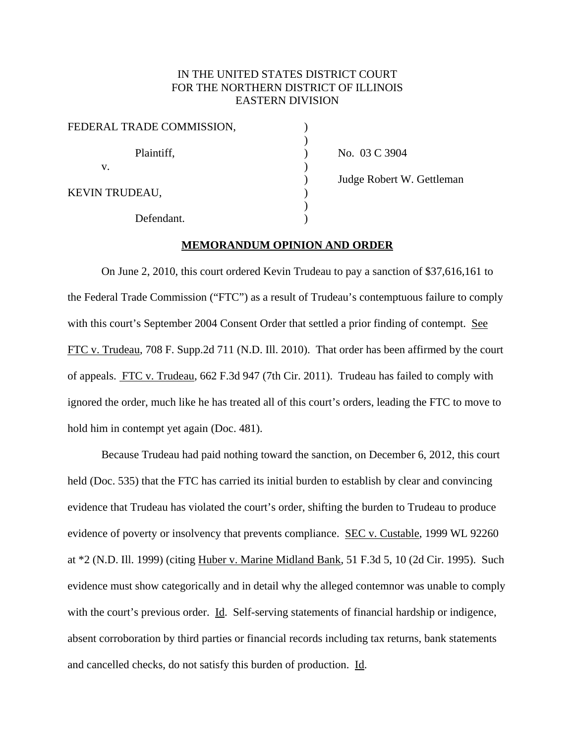# IN THE UNITED STATES DISTRICT COURT FOR THE NORTHERN DISTRICT OF ILLINOIS EASTERN DIVISION

| FEDERAL TRADE COMMISSION, |  |
|---------------------------|--|
| Plaintiff,                |  |
| v.                        |  |
| KEVIN TRUDEAU,            |  |
| Defendant.                |  |

No. 03 C 3904 ) Judge Robert W. Gettleman

)

### **MEMORANDUM OPINION AND ORDER**

On June 2, 2010, this court ordered Kevin Trudeau to pay a sanction of \$37,616,161 to the Federal Trade Commission ("FTC") as a result of Trudeau's contemptuous failure to comply with this court's September 2004 Consent Order that settled a prior finding of contempt. See FTC v. Trudeau, 708 F. Supp.2d 711 (N.D. Ill. 2010). That order has been affirmed by the court of appeals. FTC v. Trudeau, 662 F.3d 947 (7th Cir. 2011). Trudeau has failed to comply with ignored the order, much like he has treated all of this court's orders, leading the FTC to move to hold him in contempt yet again (Doc. 481).

Because Trudeau had paid nothing toward the sanction, on December 6, 2012, this court held (Doc. 535) that the FTC has carried its initial burden to establish by clear and convincing evidence that Trudeau has violated the court's order, shifting the burden to Trudeau to produce evidence of poverty or insolvency that prevents compliance. SEC v. Custable, 1999 WL 92260 at \*2 (N.D. Ill. 1999) (citing Huber v. Marine Midland Bank, 51 F.3d 5, 10 (2d Cir. 1995). Such evidence must show categorically and in detail why the alleged contemnor was unable to comply with the court's previous order. Id. Self-serving statements of financial hardship or indigence, absent corroboration by third parties or financial records including tax returns, bank statements and cancelled checks, do not satisfy this burden of production. Id.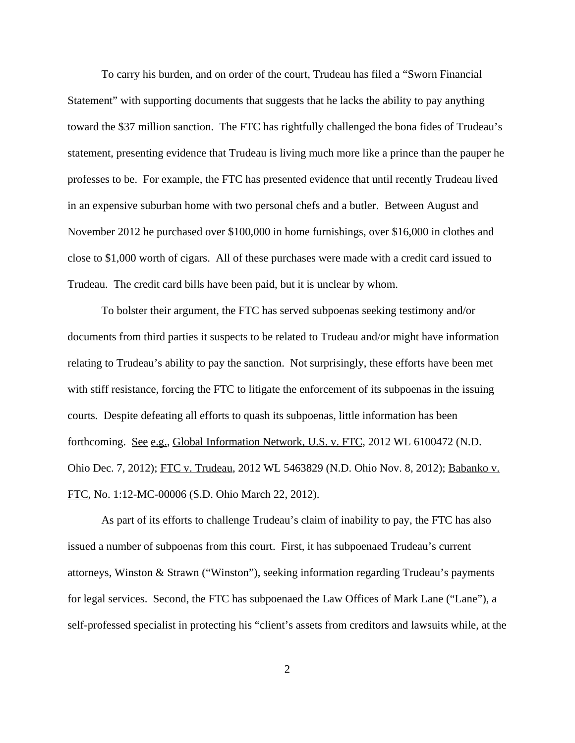To carry his burden, and on order of the court, Trudeau has filed a "Sworn Financial Statement" with supporting documents that suggests that he lacks the ability to pay anything toward the \$37 million sanction. The FTC has rightfully challenged the bona fides of Trudeau's statement, presenting evidence that Trudeau is living much more like a prince than the pauper he professes to be. For example, the FTC has presented evidence that until recently Trudeau lived in an expensive suburban home with two personal chefs and a butler. Between August and November 2012 he purchased over \$100,000 in home furnishings, over \$16,000 in clothes and close to \$1,000 worth of cigars. All of these purchases were made with a credit card issued to Trudeau. The credit card bills have been paid, but it is unclear by whom.

To bolster their argument, the FTC has served subpoenas seeking testimony and/or documents from third parties it suspects to be related to Trudeau and/or might have information relating to Trudeau's ability to pay the sanction. Not surprisingly, these efforts have been met with stiff resistance, forcing the FTC to litigate the enforcement of its subpoenas in the issuing courts. Despite defeating all efforts to quash its subpoenas, little information has been forthcoming. See e.g., Global Information Network, U.S. v. FTC, 2012 WL 6100472 (N.D. Ohio Dec. 7, 2012); FTC v. Trudeau, 2012 WL 5463829 (N.D. Ohio Nov. 8, 2012); Babanko v. FTC, No. 1:12-MC-00006 (S.D. Ohio March 22, 2012).

As part of its efforts to challenge Trudeau's claim of inability to pay, the FTC has also issued a number of subpoenas from this court. First, it has subpoenaed Trudeau's current attorneys, Winston & Strawn ("Winston"), seeking information regarding Trudeau's payments for legal services. Second, the FTC has subpoenaed the Law Offices of Mark Lane ("Lane"), a self-professed specialist in protecting his "client's assets from creditors and lawsuits while, at the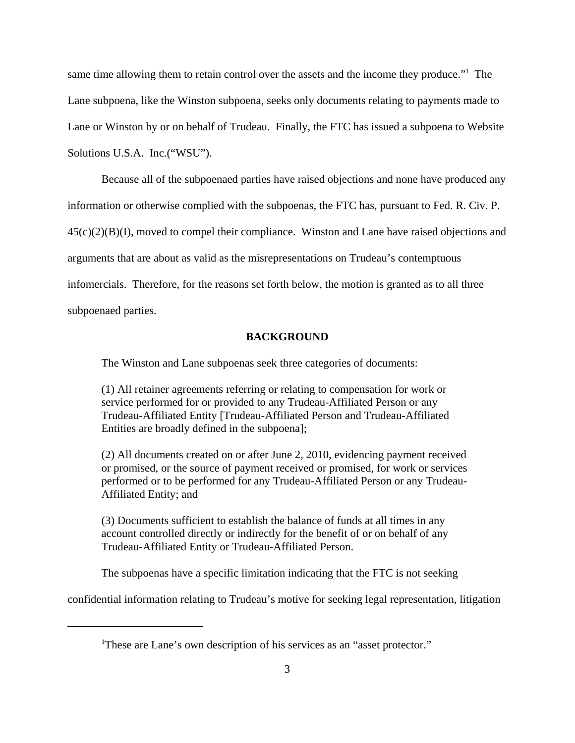same time allowing them to retain control over the assets and the income they produce."<sup>1</sup> The Lane subpoena, like the Winston subpoena, seeks only documents relating to payments made to Lane or Winston by or on behalf of Trudeau. Finally, the FTC has issued a subpoena to Website Solutions U.S.A. Inc.("WSU").

Because all of the subpoenaed parties have raised objections and none have produced any information or otherwise complied with the subpoenas, the FTC has, pursuant to Fed. R. Civ. P. 45(c)(2)(B)(I), moved to compel their compliance. Winston and Lane have raised objections and arguments that are about as valid as the misrepresentations on Trudeau's contemptuous infomercials. Therefore, for the reasons set forth below, the motion is granted as to all three subpoenaed parties.

## **BACKGROUND**

The Winston and Lane subpoenas seek three categories of documents:

(1) All retainer agreements referring or relating to compensation for work or service performed for or provided to any Trudeau-Affiliated Person or any Trudeau-Affiliated Entity [Trudeau-Affiliated Person and Trudeau-Affiliated Entities are broadly defined in the subpoena];

(2) All documents created on or after June 2, 2010, evidencing payment received or promised, or the source of payment received or promised, for work or services performed or to be performed for any Trudeau-Affiliated Person or any Trudeau-Affiliated Entity; and

(3) Documents sufficient to establish the balance of funds at all times in any account controlled directly or indirectly for the benefit of or on behalf of any Trudeau-Affiliated Entity or Trudeau-Affiliated Person.

The subpoenas have a specific limitation indicating that the FTC is not seeking

confidential information relating to Trudeau's motive for seeking legal representation, litigation

<sup>&</sup>lt;sup>1</sup>These are Lane's own description of his services as an "asset protector."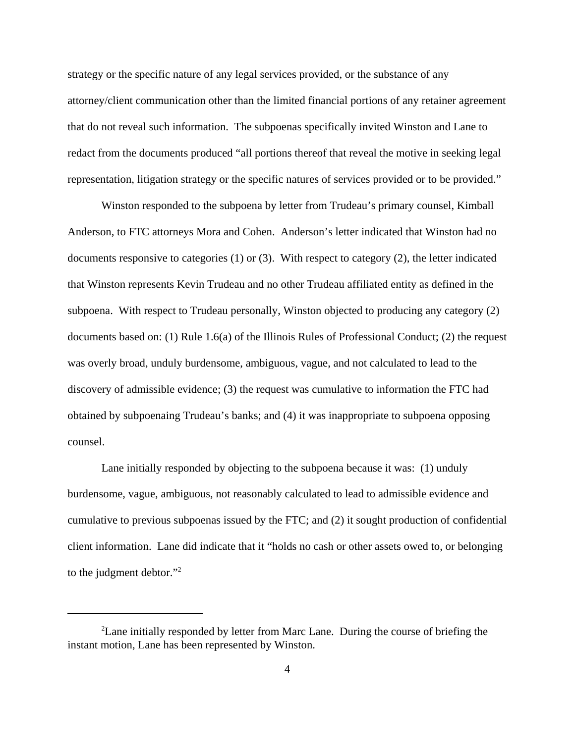strategy or the specific nature of any legal services provided, or the substance of any attorney/client communication other than the limited financial portions of any retainer agreement that do not reveal such information. The subpoenas specifically invited Winston and Lane to redact from the documents produced "all portions thereof that reveal the motive in seeking legal representation, litigation strategy or the specific natures of services provided or to be provided."

Winston responded to the subpoena by letter from Trudeau's primary counsel, Kimball Anderson, to FTC attorneys Mora and Cohen. Anderson's letter indicated that Winston had no documents responsive to categories (1) or (3). With respect to category (2), the letter indicated that Winston represents Kevin Trudeau and no other Trudeau affiliated entity as defined in the subpoena. With respect to Trudeau personally, Winston objected to producing any category (2) documents based on: (1) Rule 1.6(a) of the Illinois Rules of Professional Conduct; (2) the request was overly broad, unduly burdensome, ambiguous, vague, and not calculated to lead to the discovery of admissible evidence; (3) the request was cumulative to information the FTC had obtained by subpoenaing Trudeau's banks; and (4) it was inappropriate to subpoena opposing counsel.

Lane initially responded by objecting to the subpoena because it was: (1) unduly burdensome, vague, ambiguous, not reasonably calculated to lead to admissible evidence and cumulative to previous subpoenas issued by the FTC; and (2) it sought production of confidential client information. Lane did indicate that it "holds no cash or other assets owed to, or belonging to the judgment debtor."<sup>2</sup>

<sup>&</sup>lt;sup>2</sup> Lane initially responded by letter from Marc Lane. During the course of briefing the instant motion, Lane has been represented by Winston.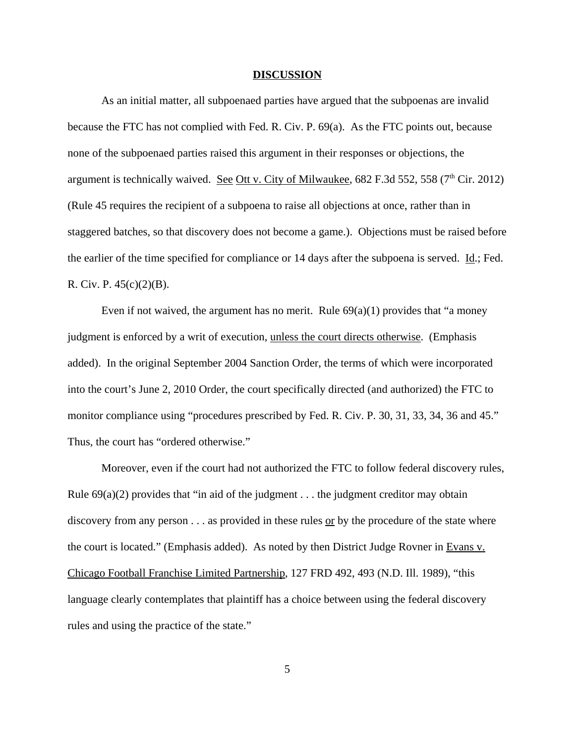#### **DISCUSSION**

As an initial matter, all subpoenaed parties have argued that the subpoenas are invalid because the FTC has not complied with Fed. R. Civ. P. 69(a). As the FTC points out, because none of the subpoenaed parties raised this argument in their responses or objections, the argument is technically waived. See Ott v. City of Milwaukee,  $682$  F.3d 552, 558 ( $7<sup>th</sup>$  Cir. 2012) (Rule 45 requires the recipient of a subpoena to raise all objections at once, rather than in staggered batches, so that discovery does not become a game.). Objections must be raised before the earlier of the time specified for compliance or 14 days after the subpoena is served. <u>Id</u>.; Fed. R. Civ. P. 45(c)(2)(B).

Even if not waived, the argument has no merit. Rule  $69(a)(1)$  provides that "a money" judgment is enforced by a writ of execution, unless the court directs otherwise. (Emphasis added). In the original September 2004 Sanction Order, the terms of which were incorporated into the court's June 2, 2010 Order, the court specifically directed (and authorized) the FTC to monitor compliance using "procedures prescribed by Fed. R. Civ. P. 30, 31, 33, 34, 36 and 45." Thus, the court has "ordered otherwise."

Moreover, even if the court had not authorized the FTC to follow federal discovery rules, Rule  $69(a)(2)$  provides that "in aid of the judgment . . . the judgment creditor may obtain discovery from any person  $\dots$  as provided in these rules or by the procedure of the state where the court is located." (Emphasis added). As noted by then District Judge Rovner in Evans v. Chicago Football Franchise Limited Partnership, 127 FRD 492, 493 (N.D. Ill. 1989), "this language clearly contemplates that plaintiff has a choice between using the federal discovery rules and using the practice of the state."

5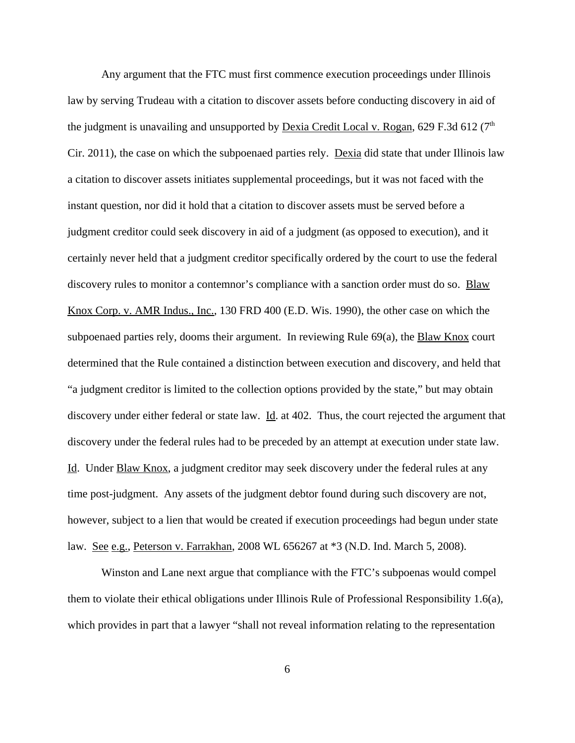Any argument that the FTC must first commence execution proceedings under Illinois law by serving Trudeau with a citation to discover assets before conducting discovery in aid of the judgment is unavailing and unsupported by Dexia Credit Local v. Rogan, 629 F.3d 612 ( $7<sup>th</sup>$ Cir. 2011), the case on which the subpoenaed parties rely. Dexia did state that under Illinois law a citation to discover assets initiates supplemental proceedings, but it was not faced with the instant question, nor did it hold that a citation to discover assets must be served before a judgment creditor could seek discovery in aid of a judgment (as opposed to execution), and it certainly never held that a judgment creditor specifically ordered by the court to use the federal discovery rules to monitor a contemnor's compliance with a sanction order must do so. Blaw Knox Corp. v. AMR Indus., Inc., 130 FRD 400 (E.D. Wis. 1990), the other case on which the subpoenaed parties rely, dooms their argument. In reviewing Rule 69(a), the Blaw Knox court determined that the Rule contained a distinction between execution and discovery, and held that "a judgment creditor is limited to the collection options provided by the state," but may obtain discovery under either federal or state law. Id. at 402. Thus, the court rejected the argument that discovery under the federal rules had to be preceded by an attempt at execution under state law. Id. Under Blaw Knox, a judgment creditor may seek discovery under the federal rules at any time post-judgment. Any assets of the judgment debtor found during such discovery are not, however, subject to a lien that would be created if execution proceedings had begun under state law. See e.g., Peterson v. Farrakhan, 2008 WL 656267 at \*3 (N.D. Ind. March 5, 2008).

Winston and Lane next argue that compliance with the FTC's subpoenas would compel them to violate their ethical obligations under Illinois Rule of Professional Responsibility 1.6(a), which provides in part that a lawyer "shall not reveal information relating to the representation

6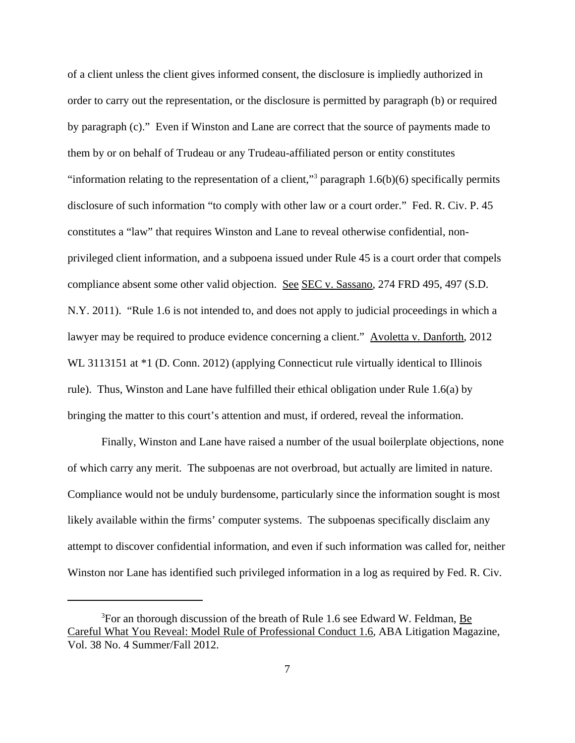of a client unless the client gives informed consent, the disclosure is impliedly authorized in order to carry out the representation, or the disclosure is permitted by paragraph (b) or required by paragraph (c)." Even if Winston and Lane are correct that the source of payments made to them by or on behalf of Trudeau or any Trudeau-affiliated person or entity constitutes "information relating to the representation of a client,"<sup>3</sup> paragraph  $1.6(b)(6)$  specifically permits disclosure of such information "to comply with other law or a court order." Fed. R. Civ. P. 45 constitutes a "law" that requires Winston and Lane to reveal otherwise confidential, nonprivileged client information, and a subpoena issued under Rule 45 is a court order that compels compliance absent some other valid objection. See SEC v. Sassano, 274 FRD 495, 497 (S.D. N.Y. 2011). "Rule 1.6 is not intended to, and does not apply to judicial proceedings in which a lawyer may be required to produce evidence concerning a client." Avoletta v. Danforth, 2012 WL 3113151 at  $*1$  (D. Conn. 2012) (applying Connecticut rule virtually identical to Illinois rule). Thus, Winston and Lane have fulfilled their ethical obligation under Rule 1.6(a) by bringing the matter to this court's attention and must, if ordered, reveal the information.

Finally, Winston and Lane have raised a number of the usual boilerplate objections, none of which carry any merit. The subpoenas are not overbroad, but actually are limited in nature. Compliance would not be unduly burdensome, particularly since the information sought is most likely available within the firms' computer systems. The subpoenas specifically disclaim any attempt to discover confidential information, and even if such information was called for, neither Winston nor Lane has identified such privileged information in a log as required by Fed. R. Civ.

 $3$ For an thorough discussion of the breath of Rule 1.6 see Edward W. Feldman, Be Careful What You Reveal: Model Rule of Professional Conduct 1.6, ABA Litigation Magazine, Vol. 38 No. 4 Summer/Fall 2012.